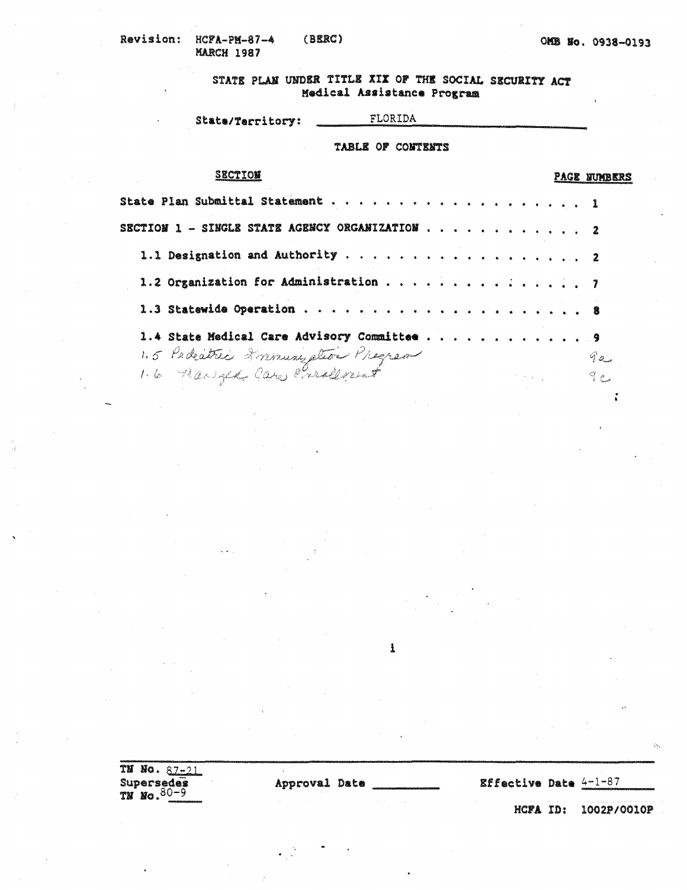## STATE PLAN UNDER TITLE XIX OF THE SOCIAL SECURITY ACT Medical Assistance Program

#### FLORIDA State/Territory:

#### TABLE OF CONTENTS

| <b>SECTION</b>                                 |                                                                                                                                                                         |  |  |  |  |  | <b>PAGE NUMBERS</b> |
|------------------------------------------------|-------------------------------------------------------------------------------------------------------------------------------------------------------------------------|--|--|--|--|--|---------------------|
|                                                |                                                                                                                                                                         |  |  |  |  |  |                     |
| SECTION 1 - SINGLE STATE AGENCY ORGANIZATION 2 |                                                                                                                                                                         |  |  |  |  |  |                     |
| 1.1 Designation and Authority 2                |                                                                                                                                                                         |  |  |  |  |  |                     |
| 1.2 Organization for Administration 7          |                                                                                                                                                                         |  |  |  |  |  |                     |
|                                                |                                                                                                                                                                         |  |  |  |  |  |                     |
| 1.4 State Medical Care Advisory Committee 9    |                                                                                                                                                                         |  |  |  |  |  |                     |
|                                                |                                                                                                                                                                         |  |  |  |  |  | 9a                  |
| 1.5 Pedeatric 2 minusy ation Pregram           | $\mathcal{L}^{\mathcal{L}}(\mathcal{L}^{\mathcal{L}})$ and $\mathcal{L}^{\mathcal{L}}(\mathcal{L}^{\mathcal{L}})$ are the set of the set of $\mathcal{L}^{\mathcal{L}}$ |  |  |  |  |  | $\frac{Q}{k}$ C     |

i

TN No. 87-21 Supersedes<br>TN No.  $80-9$ 

Approval Date

**Effective Date**  $4-1-87$ 

HCFA ID: 1002P/0010P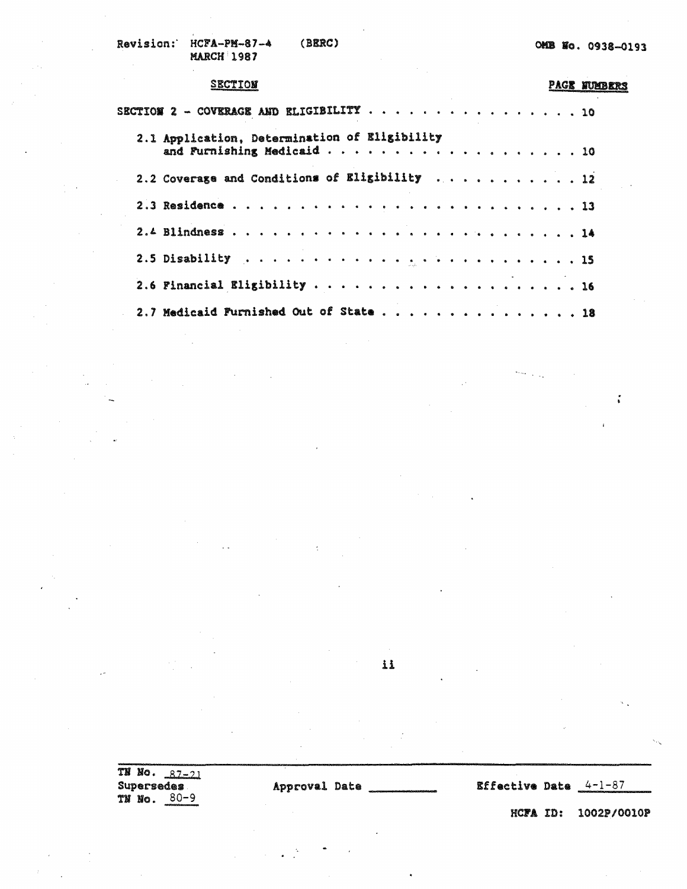Revision: HCFA-PM-87-4 (BERC) **MARCH 1987** 

#### **SECTION**

### **PAGE NUMBERS**

 $\tilde{\tilde{\imath}}$ 

| SECTION 2 - COVERAGE AND ELIGIBILITY $\cdots$ 10 |  |  |  |  |  |  |  |  |  |  |  |  |  |
|--------------------------------------------------|--|--|--|--|--|--|--|--|--|--|--|--|--|
| 2.1 Application, Determination of Eligibility    |  |  |  |  |  |  |  |  |  |  |  |  |  |
| 2.2 Coverage and Conditions of Eligibility 12    |  |  |  |  |  |  |  |  |  |  |  |  |  |
|                                                  |  |  |  |  |  |  |  |  |  |  |  |  |  |
|                                                  |  |  |  |  |  |  |  |  |  |  |  |  |  |
|                                                  |  |  |  |  |  |  |  |  |  |  |  |  |  |
|                                                  |  |  |  |  |  |  |  |  |  |  |  |  |  |
| 2.7 Medicaid Furnished Out of State 18           |  |  |  |  |  |  |  |  |  |  |  |  |  |

#### 11

 $\overline{TN}$  No.  $87-21$ Supersedes TN No. 80-9

Approval Date

**Effective Date**  $4 - 1 - 87$ 

HCFA ID: 1002P/0010P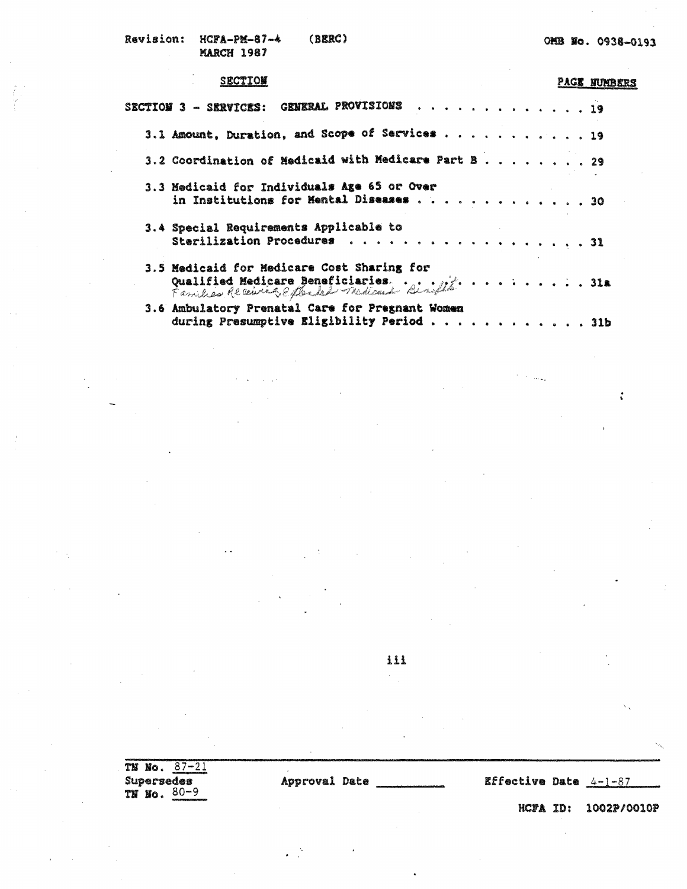#### SECTION

# **PAGE NUMBERS**

 $\ddot{\cdot}$ 

 $\tau = 1.01 \pm 1$ 

| GENERAL PROVISIONS 19<br>$SECTIOY 3 - SIRVICTS:$                                                                           |  |  |  |  |  |
|----------------------------------------------------------------------------------------------------------------------------|--|--|--|--|--|
| 3.1 Amount, Duration, and Scope of Services 19                                                                             |  |  |  |  |  |
| 3.2 Coordination of Medicaid with Medicare Part B29                                                                        |  |  |  |  |  |
| 3.3 Medicaid for Individuals Age 65 or Over<br>in Institutions for Mental Diseases 30                                      |  |  |  |  |  |
| 3.4 Special Requirements Applicable to<br>Sterilization Procedures 31                                                      |  |  |  |  |  |
| 3.5 Medicaid for Medicare Cost Sharing for<br>Qualified Medicare Beneficiaries.<br>Families Receiving e photosical dirette |  |  |  |  |  |
| 3.6 Ambulatory Prenatal Care for Pregnant Women<br>during Presumptive Eligibility Period 31b                               |  |  |  |  |  |

ili

| $1 - 2$<br>TN<br>NO.<br>communication and control to |               |  |                                |     |                                        |
|------------------------------------------------------|---------------|--|--------------------------------|-----|----------------------------------------|
| Supersedes<br>$80 - 9$<br>TN<br>ÑO.                  | Approval Date |  | <b>Effective Date</b> $4-1-87$ |     | 20100100007704002000000703000000000000 |
| <b>INTERNATIONAL CONTINUES.</b>                      |               |  | hcpa                           | TD: | 1002P/0010P                            |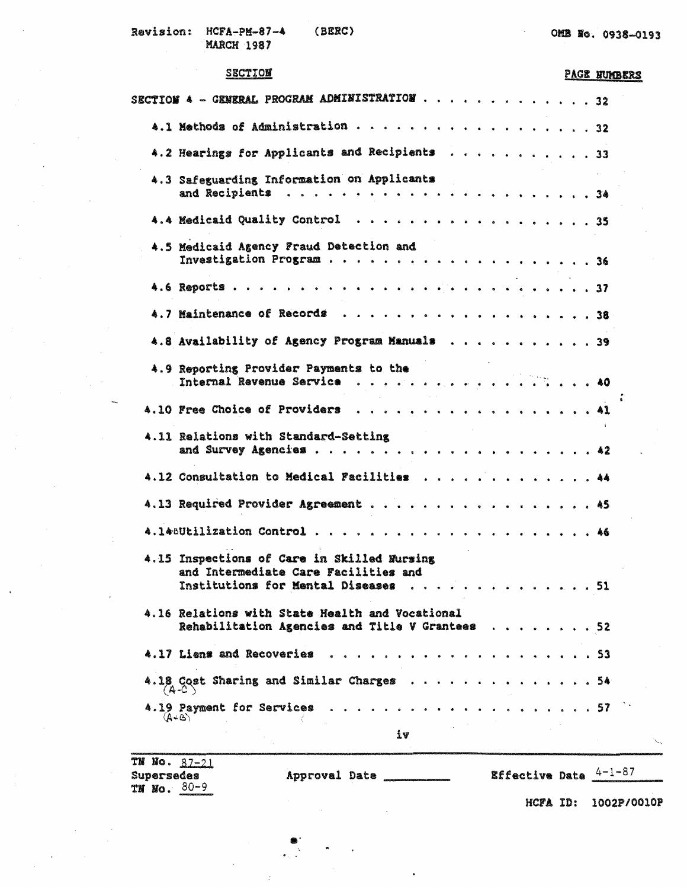$\alpha$ 

#### **SECTION**

### PAGE NUMBERS

| and Intermediate Care Facilities and |                                                                                                                                                                                                                                                                                                                                                                  |  |  |  |  |                                                                                                                                                                                                                                                                                                                                                                                                                                                                                                                                                     |
|--------------------------------------|------------------------------------------------------------------------------------------------------------------------------------------------------------------------------------------------------------------------------------------------------------------------------------------------------------------------------------------------------------------|--|--|--|--|-----------------------------------------------------------------------------------------------------------------------------------------------------------------------------------------------------------------------------------------------------------------------------------------------------------------------------------------------------------------------------------------------------------------------------------------------------------------------------------------------------------------------------------------------------|
|                                      |                                                                                                                                                                                                                                                                                                                                                                  |  |  |  |  |                                                                                                                                                                                                                                                                                                                                                                                                                                                                                                                                                     |
|                                      |                                                                                                                                                                                                                                                                                                                                                                  |  |  |  |  |                                                                                                                                                                                                                                                                                                                                                                                                                                                                                                                                                     |
|                                      |                                                                                                                                                                                                                                                                                                                                                                  |  |  |  |  |                                                                                                                                                                                                                                                                                                                                                                                                                                                                                                                                                     |
|                                      |                                                                                                                                                                                                                                                                                                                                                                  |  |  |  |  |                                                                                                                                                                                                                                                                                                                                                                                                                                                                                                                                                     |
| iv                                   |                                                                                                                                                                                                                                                                                                                                                                  |  |  |  |  |                                                                                                                                                                                                                                                                                                                                                                                                                                                                                                                                                     |
|                                      | 4.3 Safeguarding Information on Applicants<br>4.5 Medicaid Agency Fraud Detection and<br>4.9 Reporting Provider Payments to the<br>4.11 Relations with Standard-Setting<br>4.15 Inspections of Care in Skilled Nursing<br>4.16 Relations with State Health and Vocational<br>4.17 Liens and Recoveries<br>$(A-C)$<br>4.19 Payment for Services<br>$(1 + \Delta)$ |  |  |  |  | SECTION 4 - GENERAL PROGRAM ADMINISTRATION 32<br>4.1 Methods of Administration 32<br>4.2 Hearings for Applicants and Recipients 33<br>4.4 Medicald Quality Control 35<br>4.8 Availability of Agency Program Manuals 39<br>Internal Revenue Service 40<br>4.10 Free Choice of Providers 41<br>4.12 Consultation to Medical Facilities 44<br>4.13 Required Provider Agreement 45<br>Institutions for Mental Diseases 51<br>Rehabilitation Agencies and Title V Grantees 52<br>. 53<br>4.18 Cost Sharing and Similar Charges 54<br>. 57 <sup>.</sup> . |

Supersedes<br>TN No.  $80-9$ 

Approval Date

**Effective Date**  $\frac{4-1-87}{4}$ 

HCFA ID: 1002P/0010P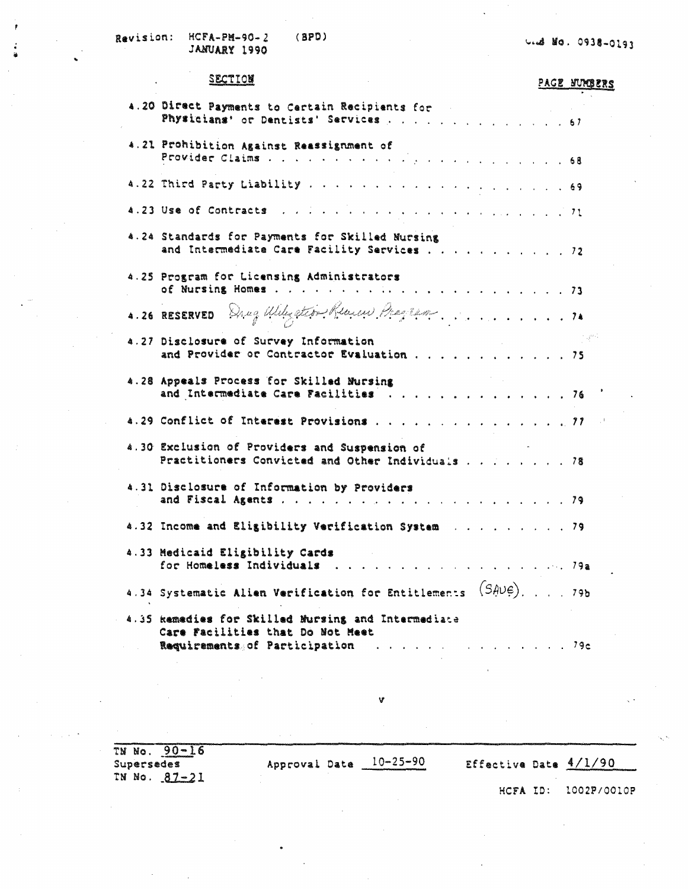Revision: **НСГА-РИ-90-2**  $(8P<sub>D</sub>)$ JANUARY 1990

U. d No. 0938-0193

#### SECTION

#### PACE NURBERS

| 4.20 Direct Payments to Certain Recipients for<br>Physicians' or Dentists' Services 67                                                                                                                                         |  |
|--------------------------------------------------------------------------------------------------------------------------------------------------------------------------------------------------------------------------------|--|
| 4.21 Prohibition Against Reassignment of                                                                                                                                                                                       |  |
|                                                                                                                                                                                                                                |  |
| 4.23 Use of Contracts of the contract of the contract of the contract of the contract of the contract of the contract of the contract of the contract of the contract of the contract of the contract of the contract of the c |  |
| 4.24 Standards for Payments for Skilled Mursing<br>and Intermediate Care Facility Services 72                                                                                                                                  |  |
| 4.25 Program for Licensing Administrators                                                                                                                                                                                      |  |
| 4.26 RESERVED Drug Wiley Stort Remain Pragram                                                                                                                                                                                  |  |
| 4.27 Disclosure of Survey Information<br>Disclosure of Survey Information<br>and Provider or Contractor Evaluation 75                                                                                                          |  |
| 4.28 Appeals Process for Skilled Nursing<br>and Intermediate Care Facilities 76                                                                                                                                                |  |
| 4.29 Conflict of Interest Provisions 77                                                                                                                                                                                        |  |
| 4.30 Exclusion of Providers and Suspension of<br>Practitioners Convicted and Other Individuals 78                                                                                                                              |  |
| 4.31 Disclosure of Information by Providers                                                                                                                                                                                    |  |
| 4.32 Income and Eligibility Verification System 79                                                                                                                                                                             |  |
| 4.33 Medicaid Eligibility Cards<br>for Homeless Individuals 79a                                                                                                                                                                |  |
| 4.34 Systematic Alien Verification for Entitlements $(SAUE)$ ,  79b                                                                                                                                                            |  |
| 4.35 kamedies for Skilled Mursing and Intermediate<br>Care Facilities that Do Not Meet<br>Requirements of Participation<br><u>.</u> 79e                                                                                        |  |

TN No.  $90-16$ <br>Supersedes Approval Date  $10-25-90$ Effective Date 4/1/90 TN No. 87-21 HCFA ID: 1002P/0010P

V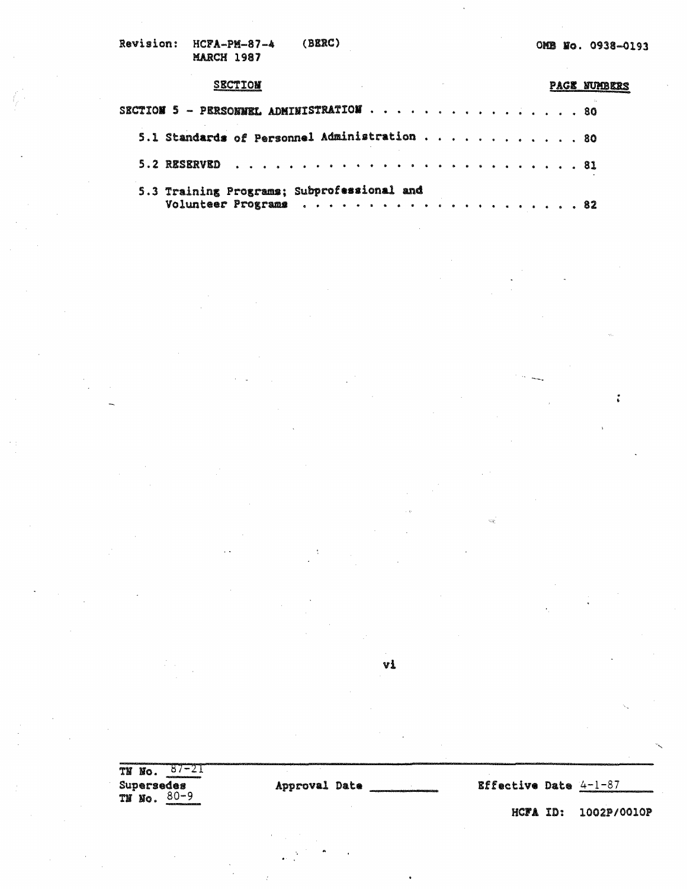| <b>Revision:</b> | <b>НСРА-РИ-87-4</b> | (BERC) |
|------------------|---------------------|--------|
|                  | MARCH 1987          |        |

## **SECTION PAGE NUMBERS** . . . . , • **80**  SECTION 5 - PERSONNEL ADMINISTRATION .  $\mathbf{r}$ **5.1 Standards of Personnel Administration** . . . . . . . . . . . . 80 **S .. 2 US!RVID** . . . . . .. . .. ... .. .. .. . .. . • . . . • ... . • . . . **81**  5.3 Training Programs; Subprofessional and Volunteer Progr&IIUII • • • , • • • • • • , • • • • • • • • • • 82

vi

| -<br>Ńо.<br>ТX<br>Supersedes<br>$80 - 9$<br>TN No. | Approval Date |  | Effective Date $4-1-87$ | how the continues of the content of the content of the content of the content of the content of the content of |
|----------------------------------------------------|---------------|--|-------------------------|----------------------------------------------------------------------------------------------------------------|
| 444442422227714000000000000000                     |               |  |                         | HCFA ID: 1002P/0010P                                                                                           |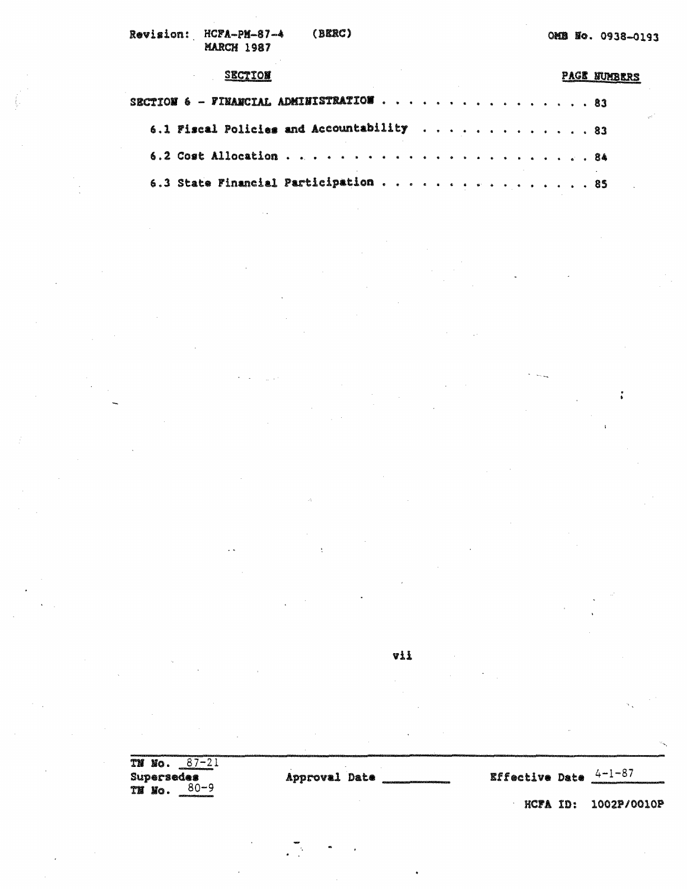$\cdot$ 

 $\ddot{\phantom{0}}$ 

V,

 $\sim$   $\sim$ 

 $\ddot{\bullet}$ 

| <b>SECTION</b>                                     |  |  |  | PAGE NUMBERS |
|----------------------------------------------------|--|--|--|--------------|
| SECTION $6$ - FINANCIAL ADMINISTRATION $\cdots$ 83 |  |  |  |              |
| 6.1 Fiscal Policies and Accountability 83          |  |  |  |              |
|                                                    |  |  |  |              |
| 6.3 State Financial Participation 85               |  |  |  |              |

vii

.

| TM | TM No.<br>Supersedes<br>Nо. | mains and a statement of the contribution of the contribution of the contribution of the contribution of the contribution of the contribution of the contribution of the contribution of the contribution of the contribution<br>$87 - 21$<br>CONTRACTOR CONTRACTOR<br>80–9 | Approval Date |  | Effective Date |     | 4-1-87      |
|----|-----------------------------|-----------------------------------------------------------------------------------------------------------------------------------------------------------------------------------------------------------------------------------------------------------------------------|---------------|--|----------------|-----|-------------|
|    |                             |                                                                                                                                                                                                                                                                             |               |  | hcfa           | ID: | 1002P/0010P |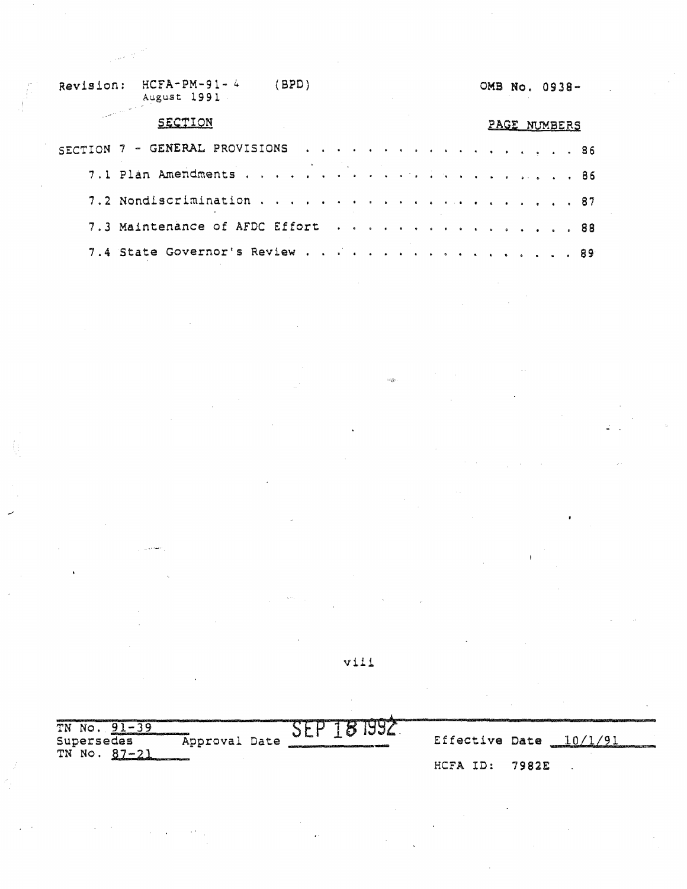#### Revision: HCFA-PM-91- <sup>4</sup> August 1991 (BPD)

# 0MB No. 0938-

#### **SECTION**

\_,

# PAGE NUMBERS

| SECTION 7 - GENERAL PROVISIONS 86 |  |  |  |  |  |  |  |  |
|-----------------------------------|--|--|--|--|--|--|--|--|
|                                   |  |  |  |  |  |  |  |  |
|                                   |  |  |  |  |  |  |  |  |
| 7.3 Maintenance of AFDC Effort 88 |  |  |  |  |  |  |  |  |
| 7.4 State Governor's Review 89    |  |  |  |  |  |  |  |  |

viii

 $\omega_{\tilde{Q}}$ 

| TN.<br>N NO.                                                                               |                                                                                      |                     |  |
|--------------------------------------------------------------------------------------------|--------------------------------------------------------------------------------------|---------------------|--|
| atomic membrane complete control and control and completely<br>Approval Date<br>Supersedes | 1 J S & S<br>enter an account of the season in the constitution of the constitution. | Effective Date 10/1 |  |
| TN No. 87-21<br><b>Contractor of the Contractor of the Contractor</b>                      | HCFA ID:                                                                             | 7982E               |  |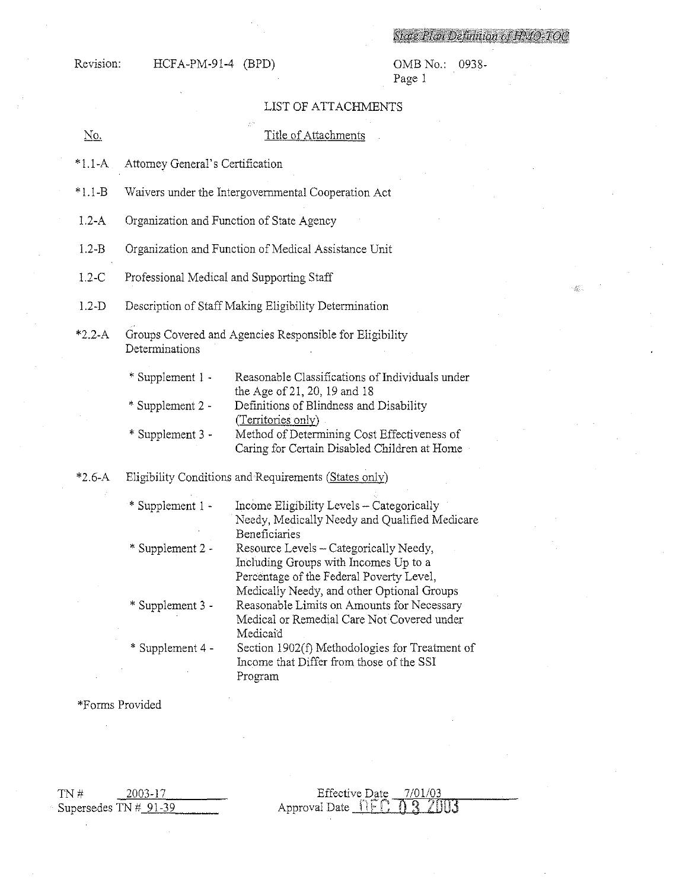# State Plan Definition of HMO-TOO

 $\label{eq:Ricci} \hat{g}^{(k)}_{\text{Ric}}\,,$ 

Revision: HCFA-PM-91-4 (BPD)

OMB No.: 0938-<br>Page 1

# LIST OF ATTACHMENTS

| No.        | Title of Attachments                                                      |                                                                                                                                                                                                                                                 |  |  |
|------------|---------------------------------------------------------------------------|-------------------------------------------------------------------------------------------------------------------------------------------------------------------------------------------------------------------------------------------------|--|--|
| $*1.1-A$   | Attorney General's Certification                                          |                                                                                                                                                                                                                                                 |  |  |
| $*1.1 - B$ | Waivers under the Intergovernmental Cooperation Act                       |                                                                                                                                                                                                                                                 |  |  |
| $1.2 - A$  | Organization and Function of State Agency                                 |                                                                                                                                                                                                                                                 |  |  |
| $1.2 - B$  | Organization and Function of Medical Assistance Unit                      |                                                                                                                                                                                                                                                 |  |  |
| $1.2-C$    | Professional Medical and Supporting Staff                                 |                                                                                                                                                                                                                                                 |  |  |
| $1.2-D$    | Description of Staff Making Eligibility Determination                     |                                                                                                                                                                                                                                                 |  |  |
| $*2.2 - A$ | Groups Covered and Agencies Responsible for Eligibility<br>Determinations |                                                                                                                                                                                                                                                 |  |  |
|            | * Supplement 1 -<br>* Supplement 2 -<br>* Supplement 3 -                  | Reasonable Classifications of Individuals under<br>the Age of 21, 20, 19 and 18<br>Definitions of Blindness and Disability<br>(Territories only)<br>Method of Determining Cost Effectiveness of<br>Caring for Certain Disabled Children at Home |  |  |
| $*2.6-A$   | Eligibility Conditions and Requirements (States only)                     |                                                                                                                                                                                                                                                 |  |  |
|            | * Supplement 1 -                                                          | Income Eligibility Levels - Categorically<br>Needy, Medically Needy and Qualified Medicare<br>Beneficiaries                                                                                                                                     |  |  |
|            | * Supplement 2 -                                                          | Resource Levels - Categorically Needy,<br>Including Groups with Incomes Up to a<br>Percentage of the Federal Poverty Level,<br>Medically Needy, and other Optional Groups                                                                       |  |  |
|            | * Supplement 3 -                                                          | Reasonable Limits on Amounts for Necessary<br>Medical or Remedial Care Not Covered under<br>Medicaid                                                                                                                                            |  |  |
|            | * Supplement 4 -                                                          | Section 1902(f) Methodologies for Treatment of<br>Income that Differ from those of the SSI<br>Program                                                                                                                                           |  |  |

\*Forms Provided

| TN # | 2003-17                |  |
|------|------------------------|--|
|      | Supersedes $TN#_91-39$ |  |

Effective Date 7/01/03<br>Approval Date <u>NEC</u> 0 3 2003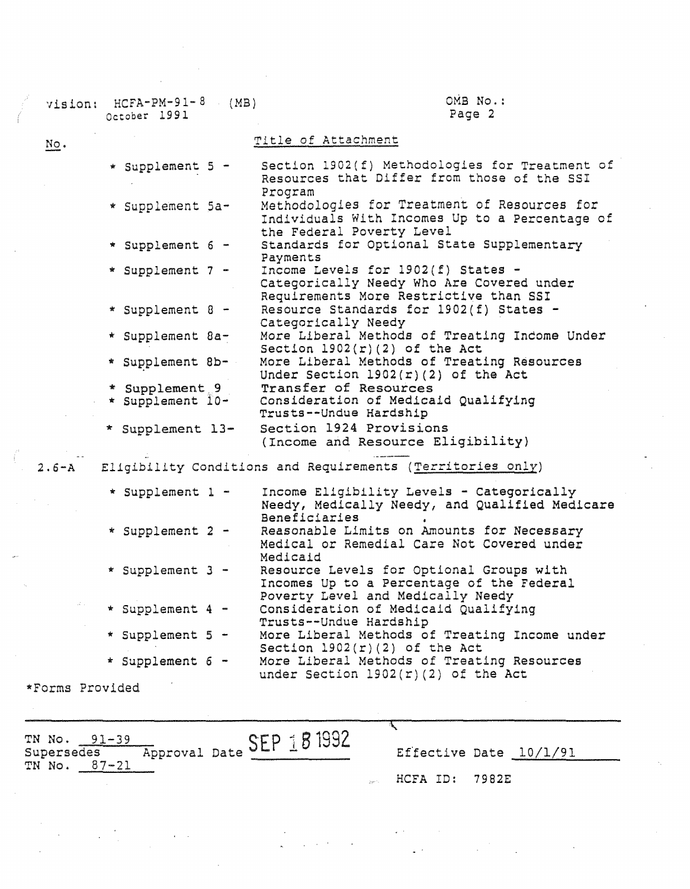| $HCPA-PM-91-8$<br>(MB)<br>vision:<br>October 1991 | OMB No.:<br>Page 2                                                                                                          |
|---------------------------------------------------|-----------------------------------------------------------------------------------------------------------------------------|
| $NQ$ .                                            | Title of Attachment                                                                                                         |
| * Supplement 5 -                                  | Section 1902(f) Methodologies for Treatment of<br>Resources that Differ from those of the SSI<br>Program                    |
| * Supplement 5a-                                  | Methodologies for Treatment of Resources for<br>Individuals With Incomes Up to a Percentage of<br>the Federal Poverty Level |
| * Supplement 6 -                                  | Standards for Optional State Supplementary<br>Payments                                                                      |
| * Supplement 7 -                                  | Income Levels for 1902(f) States -<br>Categorically Needy Who Are Covered under<br>Requirements More Restrictive than SSI   |
| * Supplement 8 -                                  | Resource Standards for 1902(f) States -<br>Categorically Needy                                                              |
| * Supplement 8a-                                  | More Liberal Methods of Treating Indome Under<br>Section $1902(r)(2)$ of the Act                                            |
| * Supplement 8b-                                  | More Liberal Methods of Treating Resources<br>Under Section $l902(r)(2)$ of the Act                                         |
| * Supplement 9<br>* Supplement I0-                | Transfer of Resources<br>Consideration of Medicaid Qualifying<br>Trusts--Undue Hardship                                     |
| * Supplement 13-                                  | Section 1924 Provisions<br>(Income and Resource Eligibility)                                                                |
|                                                   | 2.6-A Eligibility Conditions and Requirements (Territories only)                                                            |
| * Supplement 1 -                                  | Income Eligibility Levels - Categorically<br>Needy, Medically Needy, and Qualified Medicare<br>Beneficiaries                |
| * Supplement 2 -                                  | Reasonable Limits on Amounts for Necessary<br>Medical or Remedial Care Not Covered under<br>Medicaid                        |
| * Supplement 3 -                                  | Resource Levels for Optional Groups with<br>Incomes Up to a Percentage of the Federal<br>Poverty Level and Medically Needy  |
| $\mathcal{A}(\cdot,\cdot)$<br>* Supplement 4 -    | Consideration of Medicaid Qualifying<br>Trusts--Undue Hardship                                                              |
| * Supplement 5 -                                  | More Liberal Methods of Treating Income under<br>Section $1902(r)(2)$ of the Act                                            |
| * Supplement 6 -                                  | More Liberal Methods of Treating Resources<br>under Section $l902(r)(2)$ of the Act                                         |
| *Forms Provided                                   |                                                                                                                             |
|                                                   |                                                                                                                             |

 $\label{eq:2} \begin{array}{l} \mathcal{L}_{\mathcal{A}}(\mathcal{A})=\mathcal{L}_{\mathcal{A}}(\mathcal{A})\mathcal{A}^{\dagger} \end{array}$ 

TN No. 91-39<br>Supersedes Approval Date  $SEP \text{ 181932}$  Effective Date  $\frac{10/1/91}{2}$ TN No. 87-21

 $\label{eq:2.1} \frac{1}{\sqrt{2\pi}}\int_{0}^{\pi} \frac{1}{\sqrt{2\pi}}\,d\mu\,d\mu\,d\mu\,.$ 

HCFA ID:

ᠸ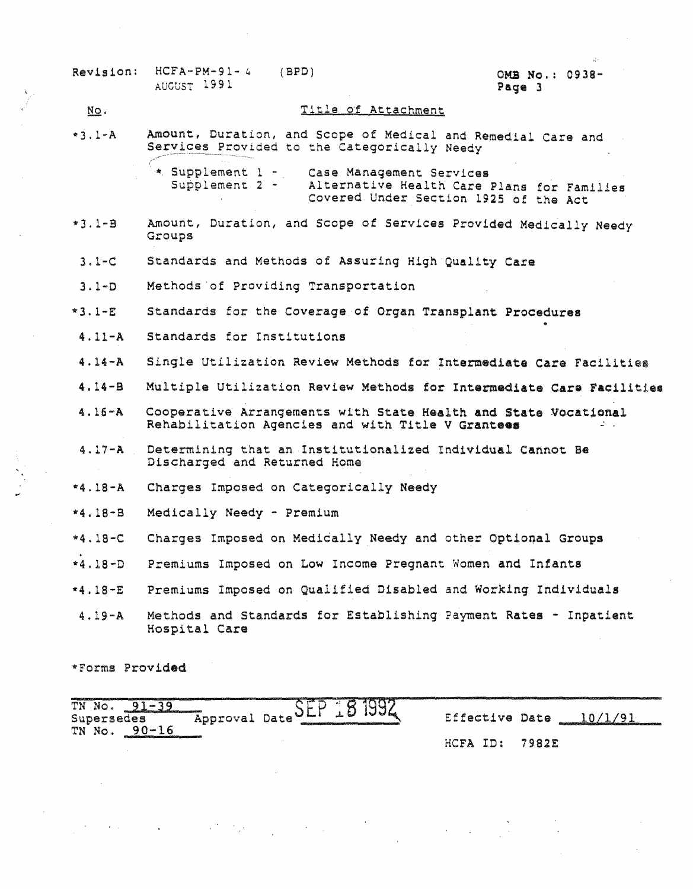Revision: HCFA-PM-91- 4 AUGUST 199 l.

#### (BPD) **0MB No.: 0938- Page** 3

#### Title of Attachment l'iQ. Amount, Duration, and Scope of Medical and. Remedial care and  $*3.1 - A$ Services Provided to the Categorically Needy \* Supplement 1 - Case Management Services<br>Supplement 2 - Alternative Health Care I Alternative Health Care Plans for Families covered Under Section 1925 of the Act Amount, Duration, and Scope of Services Provided Medically Needy •J.l-8 Groups J.1-C Standards and Methods of Assuring High **Quality Care**  Methods ·of Providing Transportation J.l-0  $*3,1-E$ Standards for the Coverage of Organ Transplant Procedures • 4, 11-A Standards for Institutions 4. 14-A Single Utilization Review Methods for Intermediate Care Facilities 4,14-B Multiple Utilization Review Methods for Intermediate Care Facilities Cooperative Arrangements with State Health and State vocational 4,16-A Rehabilitation Agencies and with Title V **Grantees** - . Determining that an Institutionalized Individual Cannot Be 4.17-A Discharged and Returned Home \*4.18-A Charges Imposed on Categorically Needy \*4,18-B Medically Needy - Premium \*4,18-C<br>... Charges Imposed on Medically Needy and other Optional Groups \*4,18-D Premiums Imposed on Low Income Pregnant Women and Infants Premiums Imposed on Qualified Disabled and Working Individuals \*4,18-E Methods and Standards for Establishing Payment Rates - Inpatient 4,19-A Hospital Care

•Forms Provided

.,

| oι<br>ТN<br>No.                                                                                                                           | <b>100</b>                                                                   |                |                                |
|-------------------------------------------------------------------------------------------------------------------------------------------|------------------------------------------------------------------------------|----------------|--------------------------------|
| the contract of the contract of the contract of the contract of the contract of the contract of the contract of<br>Supersedes<br>Approval | Date<br>- 1000<br>diverse and the contribution provided and the contribution | Effective Date | distance of the control of the |
| $\alpha \wedge$<br>TN<br>No.<br>6725531200221107255353121111111111111111112593011111111100                                                |                                                                              |                |                                |